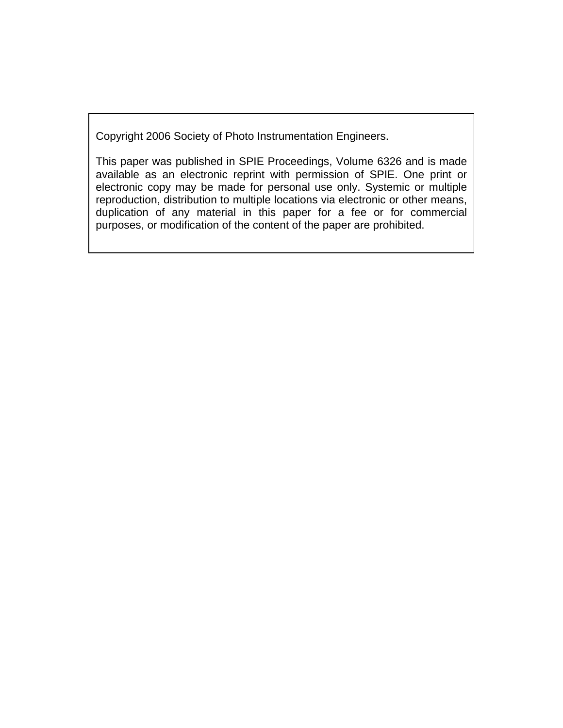Copyright 2006 Society of Photo Instrumentation Engineers.

This paper was published in SPIE Proceedings, Volume 6326 and is made available as an electronic reprint with permission of SPIE. One print or electronic copy may be made for personal use only. Systemic or multiple reproduction, distribution to multiple locations via electronic or other means, duplication of any material in this paper for a fee or for commercial purposes, or modification of the content of the paper are prohibited.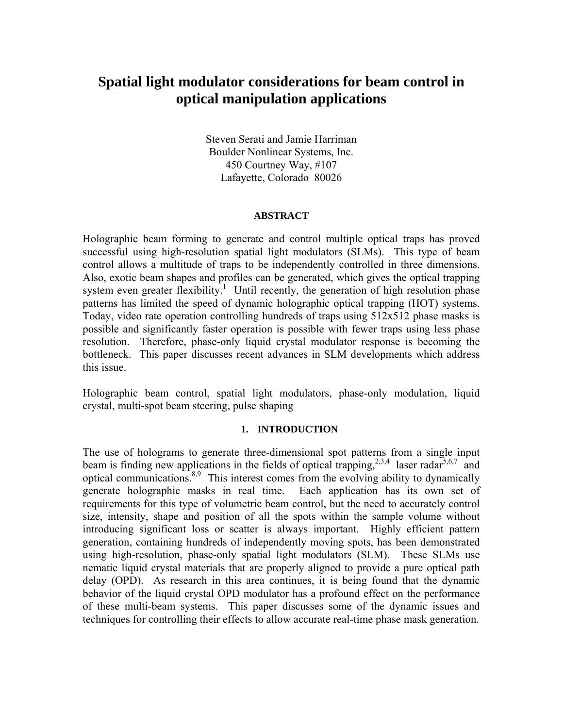# **Spatial light modulator considerations for beam control in optical manipulation applications**

Steven Serati and Jamie Harriman Boulder Nonlinear Systems, Inc. 450 Courtney Way, #107 Lafayette, Colorado 80026

#### **ABSTRACT**

Holographic beam forming to generate and control multiple optical traps has proved successful using high-resolution spatial light modulators (SLMs). This type of beam control allows a multitude of traps to be independently controlled in three dimensions. Also, exotic beam shapes and profiles can be generated, which gives the optical trapping system even greater flexibility.<sup>1</sup> Until recently, the generation of high resolution phase patterns has limited the speed of dynamic holographic optical trapping (HOT) systems. Today, video rate operation controlling hundreds of traps using 512x512 phase masks is possible and significantly faster operation is possible with fewer traps using less phase resolution. Therefore, phase-only liquid crystal modulator response is becoming the bottleneck. This paper discusses recent advances in SLM developments which address this issue.

Holographic beam control, spatial light modulators, phase-only modulation, liquid crystal, multi-spot beam steering, pulse shaping

#### **1. INTRODUCTION**

The use of holograms to generate three-dimensional spot patterns from a single input beam is finding new applications in the fields of optical trapping,<sup>2,3,4</sup> laser radar<sup>5,6,7</sup> and optical communications.<sup>8,9</sup> This interest comes from the evolving ability to dynamically generate holographic masks in real time. Each application has its own set of requirements for this type of volumetric beam control, but the need to accurately control size, intensity, shape and position of all the spots within the sample volume without introducing significant loss or scatter is always important. Highly efficient pattern generation, containing hundreds of independently moving spots, has been demonstrated using high-resolution, phase-only spatial light modulators (SLM). These SLMs use nematic liquid crystal materials that are properly aligned to provide a pure optical path delay (OPD). As research in this area continues, it is being found that the dynamic behavior of the liquid crystal OPD modulator has a profound effect on the performance of these multi-beam systems. This paper discusses some of the dynamic issues and techniques for controlling their effects to allow accurate real-time phase mask generation.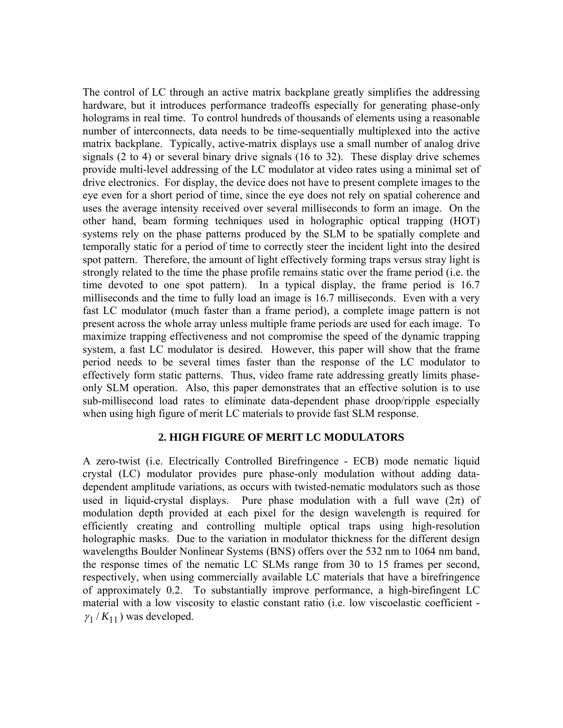The control of LC through an active matrix backplane greatly simplifies the addressing hardware, but it introduces performance tradeoffs especially for generating phase-only holograms in real time. To control hundreds of thousands of elements using a reasonable number of interconnects, data needs to be time-sequentially multiplexed into the active matrix backplane. Typically, active-matrix displays use a small number of analog drive signals (2 to 4) or several binary drive signals (16 to 32). These display drive schemes provide multi-level addressing of the LC modulator at video rates using a minimal set of drive electronics. For display, the device does not have to present complete images to the eye even for a short period of time, since the eye does not rely on spatial coherence and uses the average intensity received over several milliseconds to form an image. On the other hand, beam forming techniques used in holographic optical trapping (HOT) systems rely on the phase patterns produced by the SLM to be spatially complete and temporally static for a period of time to correctly steer the incident light into the desired spot pattern. Therefore, the amount of light effectively forming traps versus stray light is strongly related to the time the phase profile remains static over the frame period (i.e. the time devoted to one spot pattern). In a typical display, the frame period is 16.7 milliseconds and the time to fully load an image is 16.7 milliseconds. Even with a very fast LC modulator (much faster than a frame period), a complete image pattern is not present across the whole array unless multiple frame periods are used for each image. To maximize trapping effectiveness and not compromise the speed of the dynamic trapping system, a fast LC modulator is desired. However, this paper will show that the frame period needs to be several times faster than the response of the LC modulator to effectively form static patterns. Thus, video frame rate addressing greatly limits phaseonly SLM operation. Also, this paper demonstrates that an effective solution is to use sub-millisecond load rates to eliminate data-dependent phase droop/ripple especially when using high figure of merit LC materials to provide fast SLM response.

# **2. HIGH FIGURE OF MERIT LC MODULATORS**

A zero-twist (i.e. Electrically Controlled Birefringence - ECB) mode nematic liquid crystal (LC) modulator provides pure phase-only modulation without adding datadependent amplitude variations, as occurs with twisted-nematic modulators such as those used in liquid-crystal displays. Pure phase modulation with a full wave  $(2\pi)$  of modulation depth provided at each pixel for the design wavelength is required for efficiently creating and controlling multiple optical traps using high-resolution holographic masks. Due to the variation in modulator thickness for the different design wavelengths Boulder Nonlinear Systems (BNS) offers over the 532 nm to 1064 nm band, the response times of the nematic LC SLMs range from 30 to 15 frames per second, respectively, when using commercially available LC materials that have a birefringence of approximately 0.2. To substantially improve performance, a high-birefingent LC material with a low viscosity to elastic constant ratio (i.e. low viscoelastic coefficient -  $\gamma_1 / K_{11}$ ) was developed.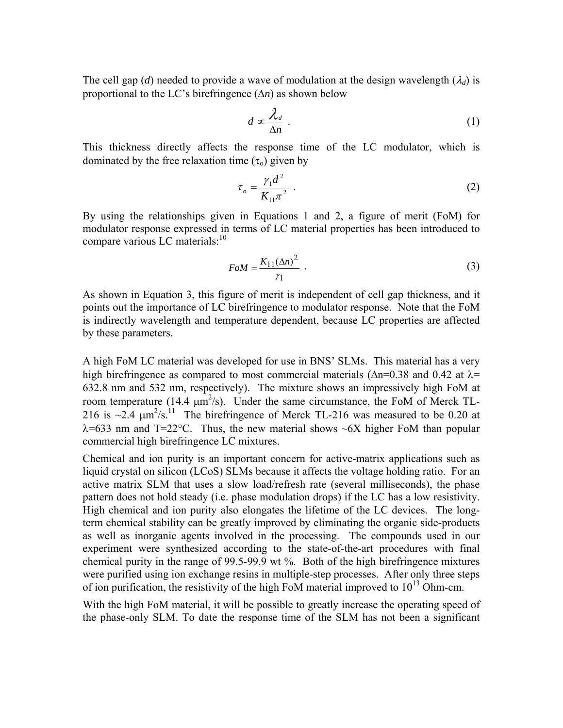The cell gap (*d*) needed to provide a wave of modulation at the design wavelength ( $\lambda_d$ ) is proportional to the LC's birefringence (Δ*n*) as shown below

$$
d \propto \frac{\lambda_d}{\Delta n} \ . \tag{1}
$$

This thickness directly affects the response time of the LC modulator, which is dominated by the free relaxation time  $(\tau_0)$  given by

$$
\tau_o = \frac{\gamma_1 d^2}{K_{11} \pi^2} \tag{2}
$$

By using the relationships given in Equations 1 and 2, a figure of merit (FoM) for modulator response expressed in terms of LC material properties has been introduced to compare various LC materials: $10$ 

$$
FoM = \frac{K_{11}(\Delta n)^2}{\gamma_1} \tag{3}
$$

As shown in Equation 3, this figure of merit is independent of cell gap thickness, and it points out the importance of LC birefringence to modulator response. Note that the FoM is indirectly wavelength and temperature dependent, because LC properties are affected by these parameters.

A high FoM LC material was developed for use in BNS' SLMs. This material has a very high birefringence as compared to most commercial materials ( $\Delta n$ =0.38 and 0.42 at  $\lambda$ = 632.8 nm and 532 nm, respectively). The mixture shows an impressively high FoM at room temperature (14.4  $\mu$ m<sup>2</sup>/s). Under the same circumstance, the FoM of Merck TL-216 is  $\sim$ 2.4  $\mu$ m<sup>2</sup>/s.<sup>11</sup> The birefringence of Merck TL-216 was measured to be 0.20 at  $\lambda$ =633 nm and T=22°C. Thus, the new material shows  $\sim$ 6X higher FoM than popular commercial high birefringence LC mixtures.

Chemical and ion purity is an important concern for active-matrix applications such as liquid crystal on silicon (LCoS) SLMs because it affects the voltage holding ratio. For an active matrix SLM that uses a slow load/refresh rate (several milliseconds), the phase pattern does not hold steady (i.e. phase modulation drops) if the LC has a low resistivity. High chemical and ion purity also elongates the lifetime of the LC devices. The longterm chemical stability can be greatly improved by eliminating the organic side-products as well as inorganic agents involved in the processing. The compounds used in our experiment were synthesized according to the state-of-the-art procedures with final chemical purity in the range of 99.5-99.9 wt %. Both of the high birefringence mixtures were purified using ion exchange resins in multiple-step processes. After only three steps of ion purification, the resistivity of the high FoM material improved to  $10^{13}$  Ohm-cm.

With the high FoM material, it will be possible to greatly increase the operating speed of the phase-only SLM. To date the response time of the SLM has not been a significant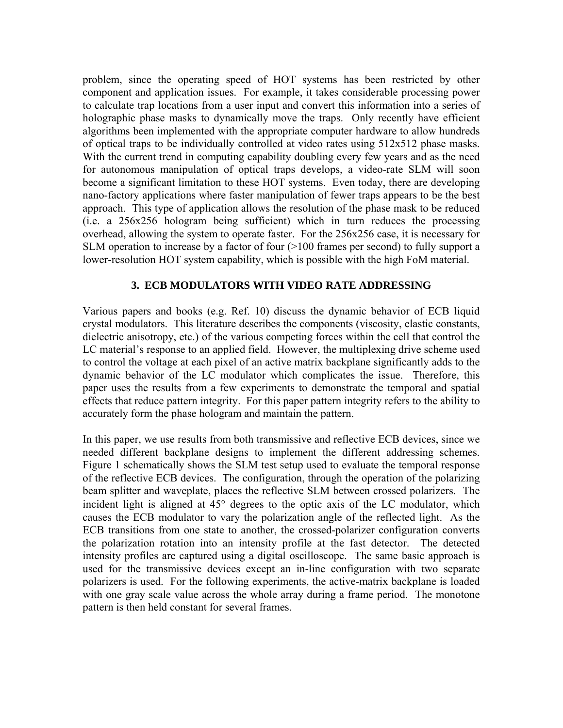problem, since the operating speed of HOT systems has been restricted by other component and application issues. For example, it takes considerable processing power to calculate trap locations from a user input and convert this information into a series of holographic phase masks to dynamically move the traps. Only recently have efficient algorithms been implemented with the appropriate computer hardware to allow hundreds of optical traps to be individually controlled at video rates using 512x512 phase masks. With the current trend in computing capability doubling every few years and as the need for autonomous manipulation of optical traps develops, a video-rate SLM will soon become a significant limitation to these HOT systems. Even today, there are developing nano-factory applications where faster manipulation of fewer traps appears to be the best approach. This type of application allows the resolution of the phase mask to be reduced (i.e. a 256x256 hologram being sufficient) which in turn reduces the processing overhead, allowing the system to operate faster. For the 256x256 case, it is necessary for SLM operation to increase by a factor of four (>100 frames per second) to fully support a lower-resolution HOT system capability, which is possible with the high FoM material.

# **3. ECB MODULATORS WITH VIDEO RATE ADDRESSING**

Various papers and books (e.g. Ref. 10) discuss the dynamic behavior of ECB liquid crystal modulators. This literature describes the components (viscosity, elastic constants, dielectric anisotropy, etc.) of the various competing forces within the cell that control the LC material's response to an applied field. However, the multiplexing drive scheme used to control the voltage at each pixel of an active matrix backplane significantly adds to the dynamic behavior of the LC modulator which complicates the issue. Therefore, this paper uses the results from a few experiments to demonstrate the temporal and spatial effects that reduce pattern integrity. For this paper pattern integrity refers to the ability to accurately form the phase hologram and maintain the pattern.

In this paper, we use results from both transmissive and reflective ECB devices, since we needed different backplane designs to implement the different addressing schemes. Figure 1 schematically shows the SLM test setup used to evaluate the temporal response of the reflective ECB devices. The configuration, through the operation of the polarizing beam splitter and waveplate, places the reflective SLM between crossed polarizers. The incident light is aligned at 45° degrees to the optic axis of the LC modulator, which causes the ECB modulator to vary the polarization angle of the reflected light. As the ECB transitions from one state to another, the crossed-polarizer configuration converts the polarization rotation into an intensity profile at the fast detector. The detected intensity profiles are captured using a digital oscilloscope. The same basic approach is used for the transmissive devices except an in-line configuration with two separate polarizers is used. For the following experiments, the active-matrix backplane is loaded with one gray scale value across the whole array during a frame period. The monotone pattern is then held constant for several frames.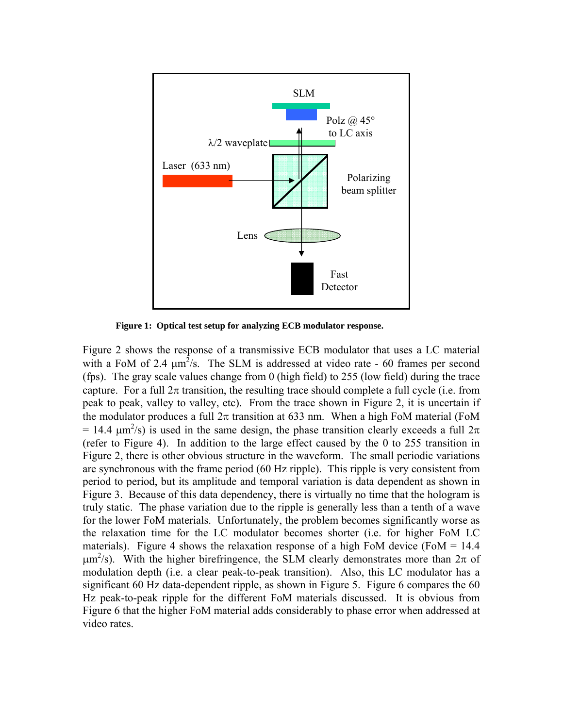

**Figure 1: Optical test setup for analyzing ECB modulator response.** 

Figure 2 shows the response of a transmissive ECB modulator that uses a LC material with a FoM of 2.4  $\mu$ m<sup>2</sup>/s. The SLM is addressed at video rate - 60 frames per second (fps). The gray scale values change from 0 (high field) to 255 (low field) during the trace capture. For a full  $2\pi$  transition, the resulting trace should complete a full cycle (i.e. from peak to peak, valley to valley, etc). From the trace shown in Figure 2, it is uncertain if the modulator produces a full  $2\pi$  transition at 633 nm. When a high FoM material (FoM = 14.4  $\mu$ m<sup>2</sup>/s) is used in the same design, the phase transition clearly exceeds a full 2π (refer to Figure 4). In addition to the large effect caused by the 0 to 255 transition in Figure 2, there is other obvious structure in the waveform. The small periodic variations are synchronous with the frame period (60 Hz ripple). This ripple is very consistent from period to period, but its amplitude and temporal variation is data dependent as shown in Figure 3. Because of this data dependency, there is virtually no time that the hologram is truly static. The phase variation due to the ripple is generally less than a tenth of a wave for the lower FoM materials. Unfortunately, the problem becomes significantly worse as the relaxation time for the LC modulator becomes shorter (i.e. for higher FoM LC materials). Figure 4 shows the relaxation response of a high FoM device (FoM  $= 14.4$ )  $\mu$ m<sup>2</sup>/s). With the higher birefringence, the SLM clearly demonstrates more than  $2\pi$  of modulation depth (i.e. a clear peak-to-peak transition). Also, this LC modulator has a significant 60 Hz data-dependent ripple, as shown in Figure 5. Figure 6 compares the 60 Hz peak-to-peak ripple for the different FoM materials discussed. It is obvious from Figure 6 that the higher FoM material adds considerably to phase error when addressed at video rates.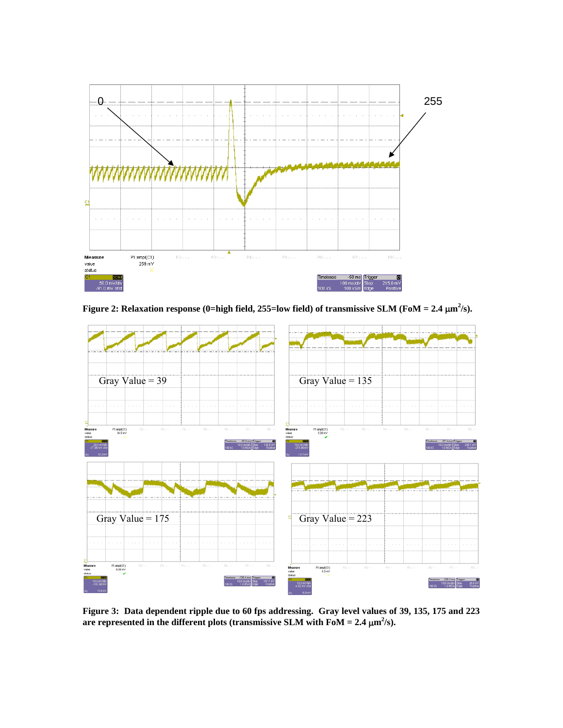

**Figure 2: Relaxation response (0=high field, 255=low field) of transmissive SLM (FoM = 2.4**  $\mu$ **m<sup>2</sup>/s).** 



**Figure 3: Data dependent ripple due to 60 fps addressing. Gray level values of 39, 135, 175 and 223**  are represented in the different plots (transmissive SLM with  $\text{FoM} = 2.4 \text{ }\mu\text{m}^2/\text{s}$ ).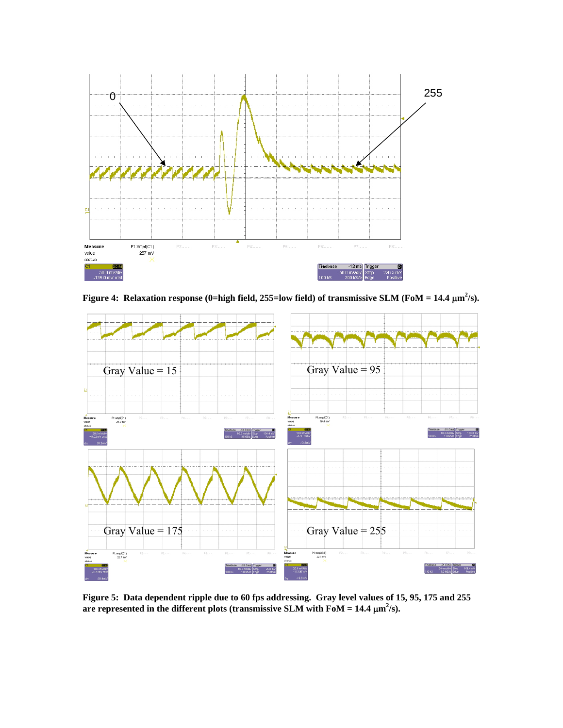

**Figure 4: Relaxation response (0=high field, 255=low field) of transmissive SLM (FoM = 14.4**  $\mu$ **m<sup>2</sup>/s).** 



**Figure 5: Data dependent ripple due to 60 fps addressing. Gray level values of 15, 95, 175 and 255**  are represented in the different plots (transmissive SLM with FoM =  $14.4 \ \mu \text{m}^2/\text{s}$ ).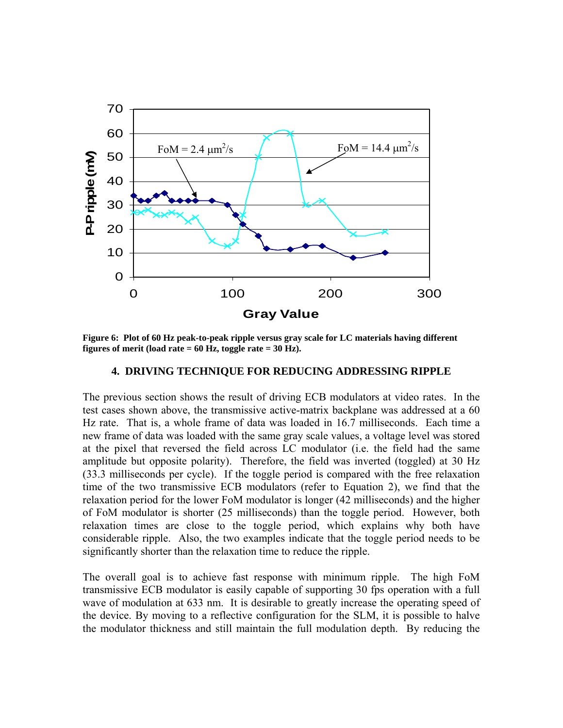

**Figure 6: Plot of 60 Hz peak-to-peak ripple versus gray scale for LC materials having different figures of merit (load rate = 60 Hz, toggle rate = 30 Hz).** 

### **4. DRIVING TECHNIQUE FOR REDUCING ADDRESSING RIPPLE**

The previous section shows the result of driving ECB modulators at video rates. In the test cases shown above, the transmissive active-matrix backplane was addressed at a 60 Hz rate. That is, a whole frame of data was loaded in 16.7 milliseconds. Each time a new frame of data was loaded with the same gray scale values, a voltage level was stored at the pixel that reversed the field across LC modulator (i.e. the field had the same amplitude but opposite polarity). Therefore, the field was inverted (toggled) at 30 Hz (33.3 milliseconds per cycle). If the toggle period is compared with the free relaxation time of the two transmissive ECB modulators (refer to Equation 2), we find that the relaxation period for the lower FoM modulator is longer (42 milliseconds) and the higher of FoM modulator is shorter (25 milliseconds) than the toggle period. However, both relaxation times are close to the toggle period, which explains why both have considerable ripple. Also, the two examples indicate that the toggle period needs to be significantly shorter than the relaxation time to reduce the ripple.

The overall goal is to achieve fast response with minimum ripple. The high FoM transmissive ECB modulator is easily capable of supporting 30 fps operation with a full wave of modulation at 633 nm. It is desirable to greatly increase the operating speed of the device. By moving to a reflective configuration for the SLM, it is possible to halve the modulator thickness and still maintain the full modulation depth. By reducing the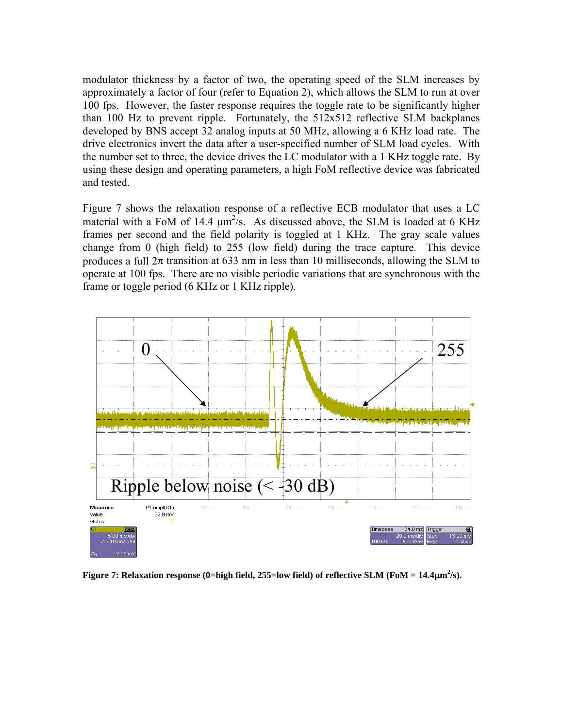modulator thickness by a factor of two, the operating speed of the SLM increases by approximately a factor of four (refer to Equation 2), which allows the SLM to run at over 100 fps. However, the faster response requires the toggle rate to be significantly higher than 100 Hz to prevent ripple. Fortunately, the 512x512 reflective SLM backplanes developed by BNS accept 32 analog inputs at 50 MHz, allowing a 6 KHz load rate. The drive electronics invert the data after a user-specified number of SLM load cycles. With the number set to three, the device drives the LC modulator with a 1 KHz toggle rate. By using these design and operating parameters, a high FoM reflective device was fabricated and tested.

Figure 7 shows the relaxation response of a reflective ECB modulator that uses a LC material with a FoM of 14.4  $\mu$ m<sup>2</sup>/s. As discussed above, the SLM is loaded at 6 KHz frames per second and the field polarity is toggled at 1 KHz. The gray scale values change from 0 (high field) to 255 (low field) during the trace capture. This device produces a full  $2\pi$  transition at 633 nm in less than 10 milliseconds, allowing the SLM to operate at 100 fps. There are no visible periodic variations that are synchronous with the frame or toggle period (6 KHz or 1 KHz ripple).



**Figure 7: Relaxation response (0=high field, 255=low field) of reflective SLM (FoM =**  $14.4 \mu m^2/s$ **).**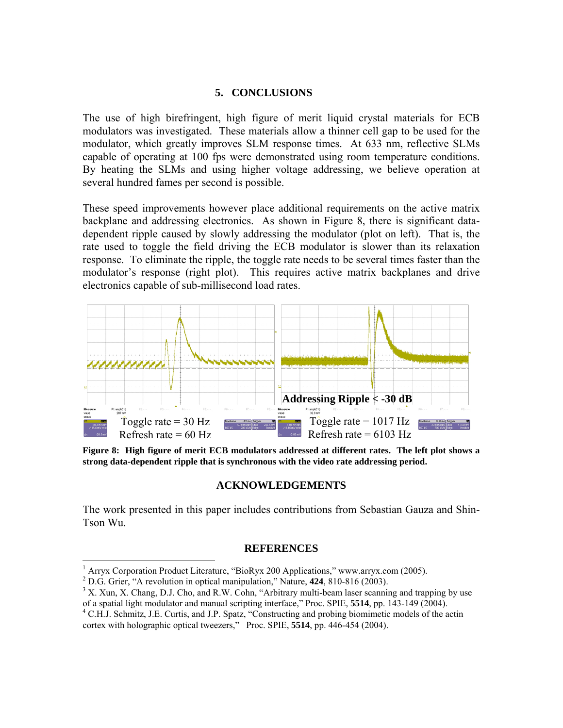### **5. CONCLUSIONS**

The use of high birefringent, high figure of merit liquid crystal materials for ECB modulators was investigated. These materials allow a thinner cell gap to be used for the modulator, which greatly improves SLM response times. At 633 nm, reflective SLMs capable of operating at 100 fps were demonstrated using room temperature conditions. By heating the SLMs and using higher voltage addressing, we believe operation at several hundred fames per second is possible.

These speed improvements however place additional requirements on the active matrix backplane and addressing electronics. As shown in Figure 8, there is significant datadependent ripple caused by slowly addressing the modulator (plot on left). That is, the rate used to toggle the field driving the ECB modulator is slower than its relaxation response. To eliminate the ripple, the toggle rate needs to be several times faster than the modulator's response (right plot). This requires active matrix backplanes and drive electronics capable of sub-millisecond load rates.



**Figure 8: High figure of merit ECB modulators addressed at different rates. The left plot shows a strong data-dependent ripple that is synchronous with the video rate addressing period.** 

# **ACKNOWLEDGEMENTS**

The work presented in this paper includes contributions from Sebastian Gauza and Shin-Tson Wu.

### **REFERENCES**

l

<sup>&</sup>lt;sup>1</sup> Arryx Corporation Product Literature, "BioRyx 200 Applications," www.arryx.com (2005).

<sup>&</sup>lt;sup>2</sup> D.G. Grier, "A revolution in optical manipulation," Nature, **424**, 810-816 (2003).

<sup>&</sup>lt;sup>3</sup> X. Xun, X. Chang, D.J. Cho, and R.W. Cohn, "Arbitrary multi-beam laser scanning and trapping by use of a spatial light modulator and manual scripting interface," Proc. SPIE, **5514**, pp. 143-149 (2004). 4

C.H.J. Schmitz, J.E. Curtis, and J.P. Spatz, "Constructing and probing biomimetic models of the actin cortex with holographic optical tweezers," Proc. SPIE, **5514**, pp. 446-454 (2004).